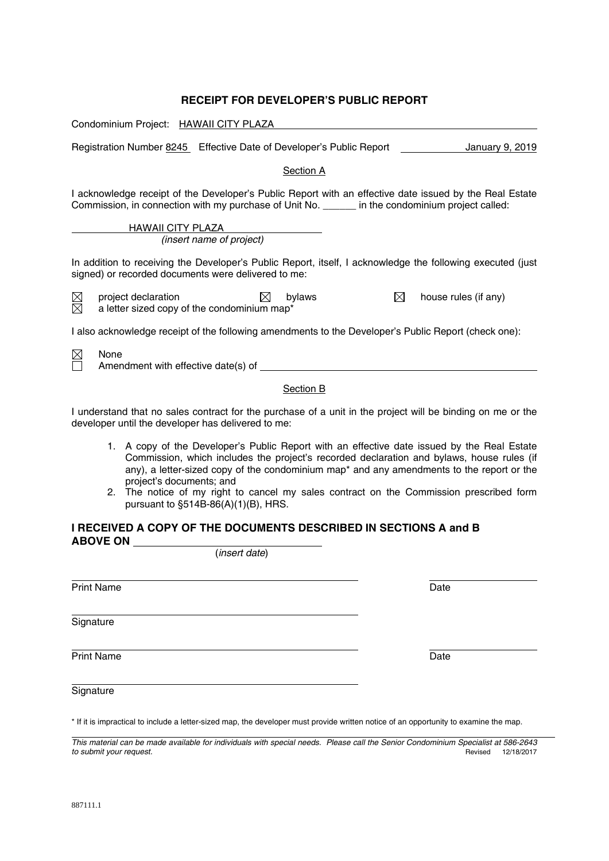# **RECEIPT FOR DEVELOPER'S PUBLIC REPORT**

| Condominium Project: HAWAII CITY PLAZA                                                                                                                                                                      |
|-------------------------------------------------------------------------------------------------------------------------------------------------------------------------------------------------------------|
| Registration Number 8245 Effective Date of Developer's Public Report<br>January 9, 2019                                                                                                                     |
| <b>Section A</b>                                                                                                                                                                                            |
| I acknowledge receipt of the Developer's Public Report with an effective date issued by the Real Estate<br>Commission, in connection with my purchase of Unit No. ______ in the condominium project called: |
| <b>HAWAII CITY PLAZA</b>                                                                                                                                                                                    |
| (insert name of project)                                                                                                                                                                                    |
| In addition to receiving the Developer's Public Report, itself, I acknowledge the following executed (just<br>signed) or recorded documents were delivered to me:                                           |
| $\boxtimes$<br>project declaration<br>$\bowtie$<br>house rules (if any)<br>$\bowtie$<br>bylaws<br>⊠<br>a letter sized copy of the condominium map*                                                          |
| I also acknowledge receipt of the following amendments to the Developer's Public Report (check one):                                                                                                        |
| None<br>⊠                                                                                                                                                                                                   |
| Section B                                                                                                                                                                                                   |
| I understand that no sales contract for the purchase of a unit in the project will be binding on me or the<br>developer until the developer has delivered to me:                                            |
| 1. A copy of the Developer's Public Report with an effective date issued by the Real Estate                                                                                                                 |

- Commission, which includes the project's recorded declaration and bylaws, house rules (if any), a letter-sized copy of the condominium map\* and any amendments to the report or the project's documents; and
- 2. The notice of my right to cancel my sales contract on the Commission prescribed form pursuant to §514B-86(A)(1)(B), HRS.

# **I RECEIVED A COPY OF THE DOCUMENTS DESCRIBED IN SECTIONS A and B ABOVE ON**  (*insert date*)

 Print Name Date

 **Signature** 

Print Name Date **Date of American Contract Contract Contract Contract Contract Contract Contract Contract Contract Contract Contract Contract Contract Contract Contract Contract Contract Contract Contract Contract Contract** 

**Signature** 

\* If it is impractical to include a letter-sized map, the developer must provide written notice of an opportunity to examine the map.

*This material can be made available for individuals with special needs. Please call the Senior Condominium Specialist at 586-2643 to submit your request.*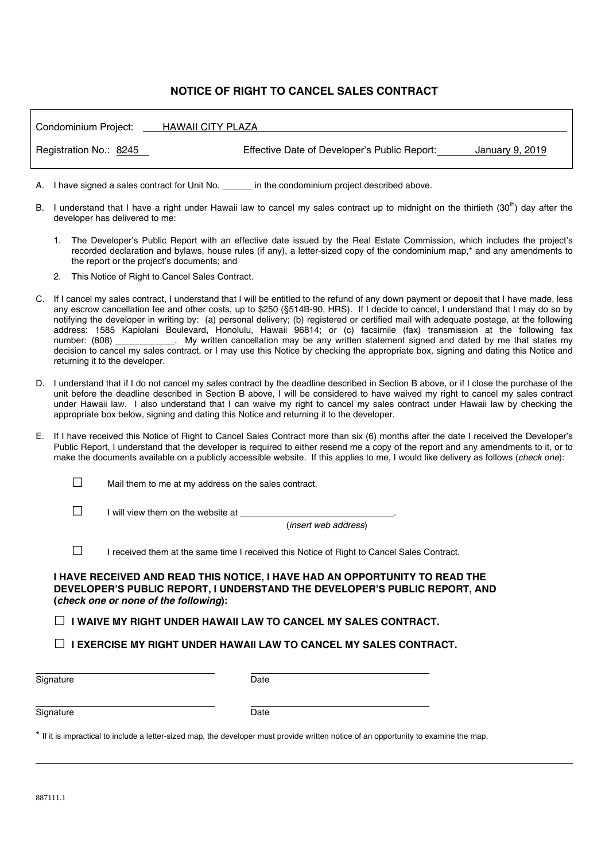# **NOTICE OF RIGHT TO CANCEL SALES CONTRACT**

| Condominium Project:   | HAWAII CITY PLAZA                                               |
|------------------------|-----------------------------------------------------------------|
| Registration No.: 8245 | Effective Date of Developer's Public Report:<br>January 9, 2019 |

A. I have signed a sales contract for Unit No.  $\qquad \qquad$  in the condominium project described above.

- B. I understand that I have a right under Hawaii law to cancel my sales contract up to midnight on the thirtieth  $(30<sup>th</sup>)$  day after the developer has delivered to me:
	- 1. The Developer's Public Report with an effective date issued by the Real Estate Commission, which includes the project's recorded declaration and bylaws, house rules (if any), a letter-sized copy of the condominium map,\* and any amendments to the report or the project's documents; and
	- 2. This Notice of Right to Cancel Sales Contract.
- C. If I cancel my sales contract, I understand that I will be entitled to the refund of any down payment or deposit that I have made, less any escrow cancellation fee and other costs, up to \$250 (§514B-90, HRS). If I decide to cancel, I understand that I may do so by notifying the developer in writing by: (a) personal delivery; (b) registered or certified mail with adequate postage, at the following address: 1585 Kapiolani Boulevard, Honolulu, Hawaii 96814; or (c) facsimile (fax) transmission at the following fax number: (808) \_\_\_\_\_\_\_\_\_\_\_\_. My written cancellation may be any written statement signed and dated by me that states my decision to cancel my sales contract, or I may use this Notice by checking the appropriate box, signing and dating this Notice and returning it to the developer.
- D. I understand that if I do not cancel my sales contract by the deadline described in Section B above, or if I close the purchase of the unit before the deadline described in Section B above, I will be considered to have waived my right to cancel my sales contract under Hawaii law. I also understand that I can waive my right to cancel my sales contract under Hawaii law by checking the appropriate box below, signing and dating this Notice and returning it to the developer.
- E. If I have received this Notice of Right to Cancel Sales Contract more than six (6) months after the date I received the Developer's Public Report, I understand that the developer is required to either resend me a copy of the report and any amendments to it, or to make the documents available on a publicly accessible website. If this applies to me, I would like delivery as follows (*check one*):

 $\Box$  Mail them to me at my address on the sales contract.

 $\Box$  I will view them on the website at

(*insert web address*)

□ I received them at the same time I received this Notice of Right to Cancel Sales Contract.

### **I HAVE RECEIVED AND READ THIS NOTICE, I HAVE HAD AN OPPORTUNITY TO READ THE DEVELOPER'S PUBLIC REPORT, I UNDERSTAND THE DEVELOPER'S PUBLIC REPORT, AND (***check one or none of the following***):**

□ **I WAIVE MY RIGHT UNDER HAWAII LAW TO CANCEL MY SALES CONTRACT.**

□ **I EXERCISE MY RIGHT UNDER HAWAII LAW TO CANCEL MY SALES CONTRACT.**

֦ Signature Date

#### l Signature **Date**

\* If it is impractical to include a letter-sized map, the developer must provide written notice of an opportunity to examine the map.